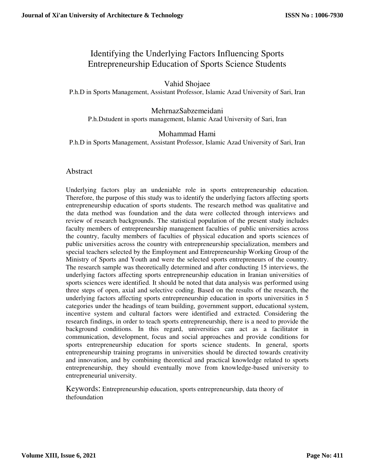# Identifying the Underlying Factors Influencing Sports Entrepreneurship Education of Sports Science Students

# Vahid Shojaee

P.h.D in Sports Management, Assistant Professor, Islamic Azad University of Sari, Iran

#### MehrnazSabzemeidani P.h.Dstudent in sports management, Islamic Azad University of Sari, Iran

## Mohammad Hami

P.h.D in Sports Management, Assistant Professor, Islamic Azad University of Sari, Iran

#### Abstract

Underlying factors play an undeniable role in sports entrepreneurship education. Therefore, the purpose of this study was to identify the underlying factors affecting sports entrepreneurship education of sports students. The research method was qualitative and the data method was foundation and the data were collected through interviews and review of research backgrounds. The statistical population of the present study includes faculty members of entrepreneurship management faculties of public universities across the country, faculty members of faculties of physical education and sports sciences of public universities across the country with entrepreneurship specialization, members and special teachers selected by the Employment and Entrepreneurship Working Group of the Ministry of Sports and Youth and were the selected sports entrepreneurs of the country. The research sample was theoretically determined and after conducting 15 interviews, the underlying factors affecting sports entrepreneurship education in Iranian universities of sports sciences were identified. It should be noted that data analysis was performed using three steps of open, axial and selective coding. Based on the results of the research, the underlying factors affecting sports entrepreneurship education in sports universities in 5 categories under the headings of team building, government support, educational system, incentive system and cultural factors were identified and extracted. Considering the research findings, in order to teach sports entrepreneurship, there is a need to provide the background conditions. In this regard, universities can act as a facilitator in communication, development, focus and social approaches and provide conditions for sports entrepreneurship education for sports science students. In general, sports entrepreneurship training programs in universities should be directed towards creativity and innovation, and by combining theoretical and practical knowledge related to sports entrepreneurship, they should eventually move from knowledge-based university to entrepreneurial university.

Keywords: Entrepreneurship education, sports entrepreneurship, data theory of thefoundation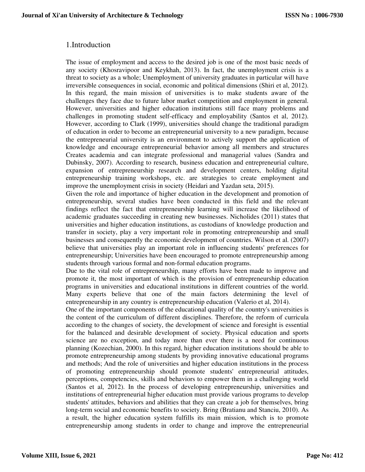## 1.Introduction

The issue of employment and access to the desired job is one of the most basic needs of any society (Khosravipoor and Keykhah, 2013). In fact, the unemployment crisis is a threat to society as a whole; Unemployment of university graduates in particular will have irreversible consequences in social, economic and political dimensions (Shiri et al, 2012). In this regard, the main mission of universities is to make students aware of the challenges they face due to future labor market competition and employment in general. However, universities and higher education institutions still face many problems and challenges in promoting student self-efficacy and employability (Santos et al, 2012). However, according to Clark (1999), universities should change the traditional paradigm of education in order to become an entrepreneurial university to a new paradigm, because the entrepreneurial university is an environment to actively support the application of knowledge and encourage entrepreneurial behavior among all members and structures Creates academia and can integrate professional and managerial values (Sandra and Dubinsky, 2007). According to research, business education and entrepreneurial culture, expansion of entrepreneurship research and development centers, holding digital entrepreneurship training workshops, etc. are strategies to create employment and improve the unemployment crisis in society (Heidari and Yazdan seta, 2015).

Given the role and importance of higher education in the development and promotion of entrepreneurship, several studies have been conducted in this field and the relevant findings reflect the fact that entrepreneurship learning will increase the likelihood of academic graduates succeeding in creating new businesses. Nicholides (2011) states that universities and higher education institutions, as custodians of knowledge production and transfer in society, play a very important role in promoting entrepreneurship and small businesses and consequently the economic development of countries. Wilson et al. (2007) believe that universities play an important role in influencing students' preferences for entrepreneurship; Universities have been encouraged to promote entrepreneurship among students through various formal and non-formal education programs.

Due to the vital role of entrepreneurship, many efforts have been made to improve and promote it, the most important of which is the provision of entrepreneurship education programs in universities and educational institutions in different countries of the world. Many experts believe that one of the main factors determining the level of entrepreneurship in any country is entrepreneurship education (Valerio et al, 2014).

One of the important components of the educational quality of the country's universities is the content of the curriculum of different disciplines. Therefore, the reform of curricula according to the changes of society, the development of science and foresight is essential for the balanced and desirable development of society. Physical education and sports science are no exception, and today more than ever there is a need for continuous planning (Kozechian, 2000). In this regard, higher education institutions should be able to promote entrepreneurship among students by providing innovative educational programs and methods; And the role of universities and higher education institutions in the process of promoting entrepreneurship should promote students' entrepreneurial attitudes, perceptions, competencies, skills and behaviors to empower them in a challenging world (Santos et al, 2012). In the process of developing entrepreneurship, universities and institutions of entrepreneurial higher education must provide various programs to develop students' attitudes, behaviors and abilities that they can create a job for themselves, bring long-term social and economic benefits to society. Bring (Bratianu and Stanciu, 2010). As a result, the higher education system fulfills its main mission, which is to promote entrepreneurship among students in order to change and improve the entrepreneurial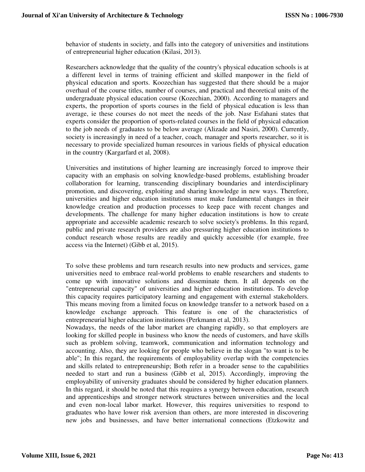behavior of students in society, and falls into the category of universities and institutions of entrepreneurial higher education (Kilasi, 2013).

Researchers acknowledge that the quality of the country's physical education schools is at a different level in terms of training efficient and skilled manpower in the field of physical education and sports. Koozechian has suggested that there should be a major overhaul of the course titles, number of courses, and practical and theoretical units of the undergraduate physical education course (Kozechian, 2000). According to managers and experts, the proportion of sports courses in the field of physical education is less than average, ie these courses do not meet the needs of the job. Nasr Esfahani states that experts consider the proportion of sports-related courses in the field of physical education to the job needs of graduates to be below average (Alizade and Nasiri, 2000). Currently, society is increasingly in need of a teacher, coach, manager and sports researcher, so it is necessary to provide specialized human resources in various fields of physical education in the country (Kargarfard et al, 2008).

Universities and institutions of higher learning are increasingly forced to improve their capacity with an emphasis on solving knowledge-based problems, establishing broader collaboration for learning, transcending disciplinary boundaries and interdisciplinary promotion, and discovering, exploiting and sharing knowledge in new ways. Therefore, universities and higher education institutions must make fundamental changes in their knowledge creation and production processes to keep pace with recent changes and developments. The challenge for many higher education institutions is how to create appropriate and accessible academic research to solve society's problems. In this regard, public and private research providers are also pressuring higher education institutions to conduct research whose results are readily and quickly accessible (for example, free access via the Internet) (Gibb et al, 2015).

To solve these problems and turn research results into new products and services, game universities need to embrace real-world problems to enable researchers and students to come up with innovative solutions and disseminate them. It all depends on the "entrepreneurial capacity" of universities and higher education institutions. To develop this capacity requires participatory learning and engagement with external stakeholders. This means moving from a limited focus on knowledge transfer to a network based on a knowledge exchange approach. This feature is one of the characteristics of entrepreneurial higher education institutions (Perkmann et al, 2013).

Nowadays, the needs of the labor market are changing rapidly, so that employers are looking for skilled people in business who know the needs of customers, and have skills such as problem solving, teamwork, communication and information technology and accounting. Also, they are looking for people who believe in the slogan "to want is to be able"; In this regard, the requirements of employability overlap with the competencies and skills related to entrepreneurship; Both refer in a broader sense to the capabilities needed to start and run a business (Gibb et al, 2015). Accordingly, improving the employability of university graduates should be considered by higher education planners. In this regard, it should be noted that this requires a synergy between education, research and apprenticeships and stronger network structures between universities and the local and even non-local labor market. However, this requires universities to respond to graduates who have lower risk aversion than others, are more interested in discovering new jobs and businesses, and have better international connections (Etzkowitz and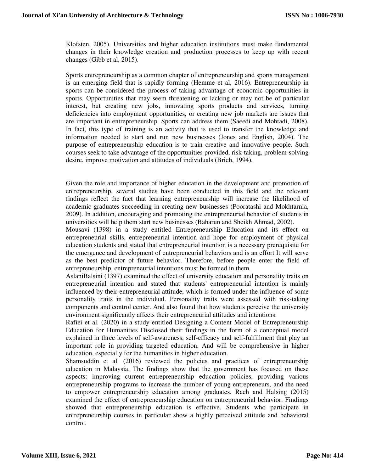Klofsten, 2005). Universities and higher education institutions must make fundamental changes in their knowledge creation and production processes to keep up with recent changes (Gibb et al, 2015).

Sports entrepreneurship as a common chapter of entrepreneurship and sports management is an emerging field that is rapidly forming (Hemme et al, 2016). Entrepreneurship in sports can be considered the process of taking advantage of economic opportunities in sports. Opportunities that may seem threatening or lacking or may not be of particular interest, but creating new jobs, innovating sports products and services, turning deficiencies into employment opportunities, or creating new job markets are issues that are important in entrepreneurship. Sports can address them (Saeedi and Mohtadi, 2008). In fact, this type of training is an activity that is used to transfer the knowledge and information needed to start and run new businesses (Jones and English, 2004). The purpose of entrepreneurship education is to train creative and innovative people. Such courses seek to take advantage of the opportunities provided, risk-taking, problem-solving desire, improve motivation and attitudes of individuals (Brich, 1994).

Given the role and importance of higher education in the development and promotion of entrepreneurship, several studies have been conducted in this field and the relevant findings reflect the fact that learning entrepreneurship will increase the likelihood of academic graduates succeeding in creating new businesses (Pooratashi and Mokhtarnia, 2009). In addition, encouraging and promoting the entrepreneurial behavior of students in universities will help them start new businesses (Baharun and Sheikh Ahmad, 2002).

Mousavi (1398) in a study entitled Entrepreneurship Education and its effect on entrepreneurial skills, entrepreneurial intention and hope for employment of physical education students and stated that entrepreneurial intention is a necessary prerequisite for the emergence and development of entrepreneurial behaviors and is an effort It will serve as the best predictor of future behavior. Therefore, before people enter the field of entrepreneurship, entrepreneurial intentions must be formed in them.

AslaniBalsini (1397) examined the effect of university education and personality traits on entrepreneurial intention and stated that students' entrepreneurial intention is mainly influenced by their entrepreneurial attitude, which is formed under the influence of some personality traits in the individual. Personality traits were assessed with risk-taking components and control center. And also found that how students perceive the university environment significantly affects their entrepreneurial attitudes and intentions.

Rafiei et al. (2020) in a study entitled Designing a Content Model of Entrepreneurship Education for Humanities Disclosed their findings in the form of a conceptual model explained in three levels of self-awareness, self-efficacy and self-fulfillment that play an important role in providing targeted education. And will be comprehensive in higher education, especially for the humanities in higher education.

Shamsuddin et al. (2016) reviewed the policies and practices of entrepreneurship education in Malaysia. The findings show that the government has focused on these aspects: improving current entrepreneurship education policies, providing various entrepreneurship programs to increase the number of young entrepreneurs, and the need to empower entrepreneurship education among graduates. Rach and Halsing (2015) examined the effect of entrepreneurship education on entrepreneurial behavior. Findings showed that entrepreneurship education is effective. Students who participate in entrepreneurship courses in particular show a highly perceived attitude and behavioral control.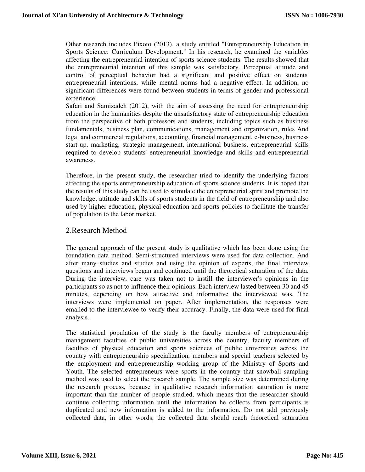Other research includes Pixoto (2013), a study entitled "Entrepreneurship Education in Sports Science: Curriculum Development." In his research, he examined the variables affecting the entrepreneurial intention of sports science students. The results showed that the entrepreneurial intention of this sample was satisfactory. Perceptual attitude and control of perceptual behavior had a significant and positive effect on students' entrepreneurial intentions, while mental norms had a negative effect. In addition, no significant differences were found between students in terms of gender and professional experience.

Safari and Samizadeh (2012), with the aim of assessing the need for entrepreneurship education in the humanities despite the unsatisfactory state of entrepreneurship education from the perspective of both professors and students, including topics such as business fundamentals, business plan, communications, management and organization, rules And legal and commercial regulations, accounting, financial management, e-business, business start-up, marketing, strategic management, international business, entrepreneurial skills required to develop students' entrepreneurial knowledge and skills and entrepreneurial awareness.

Therefore, in the present study, the researcher tried to identify the underlying factors affecting the sports entrepreneurship education of sports science students. It is hoped that the results of this study can be used to stimulate the entrepreneurial spirit and promote the knowledge, attitude and skills of sports students in the field of entrepreneurship and also used by higher education, physical education and sports policies to facilitate the transfer of population to the labor market.

## 2.Research Method

The general approach of the present study is qualitative which has been done using the foundation data method. Semi-structured interviews were used for data collection. And after many studies and studies and using the opinion of experts, the final interview questions and interviews began and continued until the theoretical saturation of the data. During the interview, care was taken not to instill the interviewer's opinions in the participants so as not to influence their opinions. Each interview lasted between 30 and 45 minutes, depending on how attractive and informative the interviewee was. The interviews were implemented on paper. After implementation, the responses were emailed to the interviewee to verify their accuracy. Finally, the data were used for final analysis.

The statistical population of the study is the faculty members of entrepreneurship management faculties of public universities across the country, faculty members of faculties of physical education and sports sciences of public universities across the country with entrepreneurship specialization, members and special teachers selected by the employment and entrepreneurship working group of the Ministry of Sports and Youth. The selected entrepreneurs were sports in the country that snowball sampling method was used to select the research sample. The sample size was determined during the research process, because in qualitative research information saturation is more important than the number of people studied, which means that the researcher should continue collecting information until the information he collects from participants is duplicated and new information is added to the information. Do not add previously collected data, in other words, the collected data should reach theoretical saturation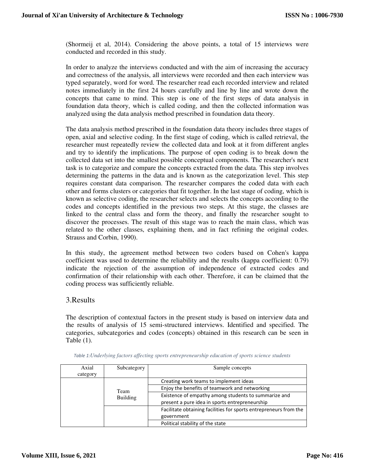(Shormeij et al, 2014). Considering the above points, a total of 15 interviews were conducted and recorded in this study.

In order to analyze the interviews conducted and with the aim of increasing the accuracy and correctness of the analysis, all interviews were recorded and then each interview was typed separately, word for word. The researcher read each recorded interview and related notes immediately in the first 24 hours carefully and line by line and wrote down the concepts that came to mind. This step is one of the first steps of data analysis in foundation data theory, which is called coding, and then the collected information was analyzed using the data analysis method prescribed in foundation data theory.

The data analysis method prescribed in the foundation data theory includes three stages of open, axial and selective coding. In the first stage of coding, which is called retrieval, the researcher must repeatedly review the collected data and look at it from different angles and try to identify the implications. The purpose of open coding is to break down the collected data set into the smallest possible conceptual components. The researcher's next task is to categorize and compare the concepts extracted from the data. This step involves determining the patterns in the data and is known as the categorization level. This step requires constant data comparison. The researcher compares the coded data with each other and forms clusters or categories that fit together. In the last stage of coding, which is known as selective coding, the researcher selects and selects the concepts according to the codes and concepts identified in the previous two steps. At this stage, the classes are linked to the central class and form the theory, and finally the researcher sought to discover the processes. The result of this stage was to reach the main class, which was related to the other classes, explaining them, and in fact refining the original codes. Strauss and Corbin, 1990).

In this study, the agreement method between two coders based on Cohen's kappa coefficient was used to determine the reliability and the results (kappa coefficient: 0.79) indicate the rejection of the assumption of independence of extracted codes and confirmation of their relationship with each other. Therefore, it can be claimed that the coding process was sufficiently reliable.

#### 3.Results

The description of contextual factors in the present study is based on interview data and the results of analysis of 15 semi-structured interviews. Identified and specified. The categories, subcategories and codes (concepts) obtained in this research can be seen in Table (1).

| Axial<br>category | Subcategory             | Sample concepts                                                   |
|-------------------|-------------------------|-------------------------------------------------------------------|
|                   |                         | Creating work teams to implement ideas                            |
|                   | Team<br><b>Building</b> | Enjoy the benefits of teamwork and networking                     |
|                   |                         | Existence of empathy among students to summarize and              |
|                   |                         | present a pure idea in sports entrepreneurship                    |
|                   |                         | Facilitate obtaining facilities for sports entrepreneurs from the |
|                   |                         | government                                                        |
|                   |                         | Political stability of the state                                  |

*Table 1:Underlying factors affecting sports entrepreneurship education of sports science students*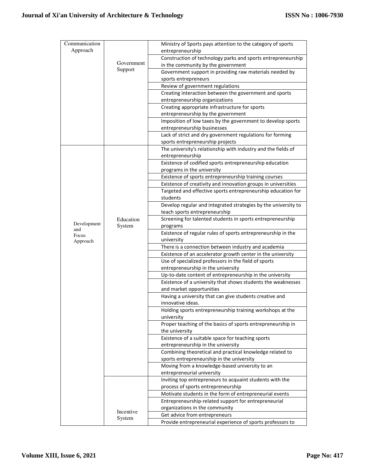| Communication |            | Ministry of Sports pays attention to the category of sports                                                         |
|---------------|------------|---------------------------------------------------------------------------------------------------------------------|
| Approach      |            | entrepreneurship                                                                                                    |
|               |            | Construction of technology parks and sports entrepreneurship                                                        |
|               | Government | in the community by the government                                                                                  |
|               | Support    | Government support in providing raw materials needed by                                                             |
|               |            | sports entrepreneurs                                                                                                |
|               |            | Review of government regulations                                                                                    |
|               |            | Creating interaction between the government and sports                                                              |
|               |            | entrepreneurship organizations                                                                                      |
|               |            | Creating appropriate infrastructure for sports                                                                      |
|               |            | entrepreneurship by the government                                                                                  |
|               |            | Imposition of low taxes by the government to develop sports                                                         |
|               |            | entrepreneurship businesses<br>Lack of strict and dry government regulations for forming                            |
|               |            | sports entrepreneurship projects                                                                                    |
|               |            | The university's relationship with industry and the fields of                                                       |
|               |            | entrepreneurship                                                                                                    |
|               |            | Existence of codified sports entrepreneurship education                                                             |
|               |            | programs in the university                                                                                          |
|               |            | Existence of sports entrepreneurship training courses                                                               |
|               |            | Existence of creativity and innovation groups in universities                                                       |
|               |            | Targeted and effective sports entrepreneurship education for                                                        |
|               |            | students                                                                                                            |
|               |            | Develop regular and integrated strategies by the university to                                                      |
|               |            | teach sports entrepreneurship                                                                                       |
| Development   | Education  | Screening for talented students in sports entrepreneurship                                                          |
| and           | System     | programs                                                                                                            |
| Focus         |            | Existence of regular rules of sports entrepreneurship in the                                                        |
| Approach      |            | university                                                                                                          |
|               |            | There is a connection between industry and academia                                                                 |
|               |            | Existence of an accelerator growth center in the university<br>Use of specialized professors in the field of sports |
|               |            | entrepreneurship in the university                                                                                  |
|               |            | Up-to-date content of entrepreneurship in the university                                                            |
|               |            | Existence of a university that shows students the weaknesses                                                        |
|               |            | and market opportunities                                                                                            |
|               |            | Having a university that can give students creative and                                                             |
|               |            | innovative ideas.                                                                                                   |
|               |            | Holding sports entrepreneurship training workshops at the                                                           |
|               |            | university                                                                                                          |
|               |            | Proper teaching of the basics of sports entrepreneurship in                                                         |
|               |            | the university                                                                                                      |
|               |            | Existence of a suitable space for teaching sports                                                                   |
|               |            | entrepreneurship in the university                                                                                  |
|               |            | Combining theoretical and practical knowledge related to                                                            |
|               |            | sports entrepreneurship in the university                                                                           |
|               |            | Moving from a knowledge-based university to an<br>entrepreneurial university                                        |
|               |            | Inviting top entrepreneurs to acquaint students with the                                                            |
|               |            | process of sports entrepreneurship                                                                                  |
|               |            | Motivate students in the form of entrepreneurial events                                                             |
|               |            | Entrepreneurship-related support for entrepreneurial                                                                |
|               |            | organizations in the community                                                                                      |
|               | Incentive  | Get advice from entrepreneurs                                                                                       |
|               | System     | Provide entrepreneurial experience of sports professors to                                                          |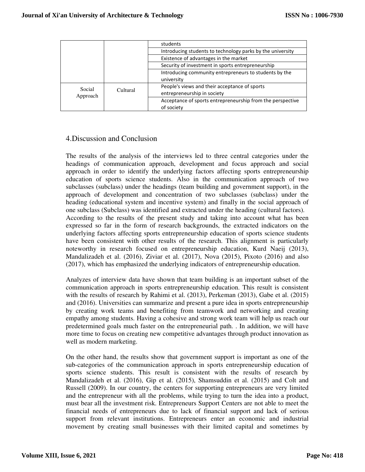|                    |          | students                                                   |
|--------------------|----------|------------------------------------------------------------|
|                    |          | Introducing students to technology parks by the university |
|                    |          | Existence of advantages in the market                      |
|                    |          | Security of investment in sports entrepreneurship          |
|                    |          | Introducing community entrepreneurs to students by the     |
|                    |          | university                                                 |
| Social<br>Approach | Cultural | People's views and their acceptance of sports              |
|                    |          | entrepreneurship in society                                |
|                    |          | Acceptance of sports entrepreneurship from the perspective |
|                    |          | of society                                                 |

## 4.Discussion and Conclusion

The results of the analysis of the interviews led to three central categories under the headings of communication approach, development and focus approach and social approach in order to identify the underlying factors affecting sports entrepreneurship education of sports science students. Also in the communication approach of two subclasses (subclass) under the headings (team building and government support), in the approach of development and concentration of two subclasses (subclass) under the heading (educational system and incentive system) and finally in the social approach of one subclass (Subclass) was identified and extracted under the heading (cultural factors). According to the results of the present study and taking into account what has been expressed so far in the form of research backgrounds, the extracted indicators on the underlying factors affecting sports entrepreneurship education of sports science students have been consistent with other results of the research. This alignment is particularly noteworthy in research focused on entrepreneurship education, Kurd Naeij (2013), Mandalizadeh et al. (2016), Ziviar et al. (2017), Nova (2015), Pixoto (2016) and also (2017), which has emphasized the underlying indicators of entrepreneurship education.

Analyzes of interview data have shown that team building is an important subset of the communication approach in sports entrepreneurship education. This result is consistent with the results of research by Rahimi et al. (2013), Perkeman (2013), Gabe et al. (2015) and (2016). Universities can summarize and present a pure idea in sports entrepreneurship by creating work teams and benefiting from teamwork and networking and creating empathy among students. Having a cohesive and strong work team will help us reach our predetermined goals much faster on the entrepreneurial path. . In addition, we will have more time to focus on creating new competitive advantages through product innovation as well as modern marketing.

On the other hand, the results show that government support is important as one of the sub-categories of the communication approach in sports entrepreneurship education of sports science students. This result is consistent with the results of research by Mandalizadeh et al. (2016), Gip et al. (2015), Shamsuddin et al. (2015) and Colt and Russell (2009). In our country, the centers for supporting entrepreneurs are very limited and the entrepreneur with all the problems, while trying to turn the idea into a product, must bear all the investment risk. Entrepreneurs Support Centers are not able to meet the financial needs of entrepreneurs due to lack of financial support and lack of serious support from relevant institutions. Entrepreneurs enter an economic and industrial movement by creating small businesses with their limited capital and sometimes by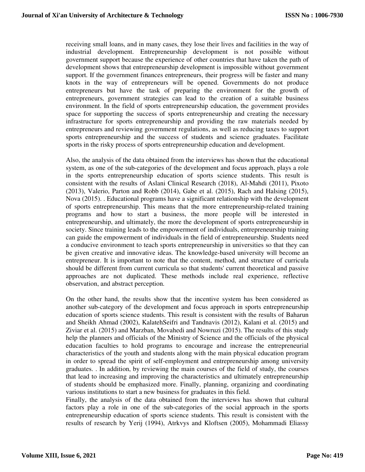receiving small loans, and in many cases, they lose their lives and facilities in the way of industrial development. Entrepreneurship development is not possible without government support because the experience of other countries that have taken the path of development shows that entrepreneurship development is impossible without government support. If the government finances entrepreneurs, their progress will be faster and many knots in the way of entrepreneurs will be opened. Governments do not produce entrepreneurs but have the task of preparing the environment for the growth of entrepreneurs, government strategies can lead to the creation of a suitable business environment. In the field of sports entrepreneurship education, the government provides space for supporting the success of sports entrepreneurship and creating the necessary infrastructure for sports entrepreneurship and providing the raw materials needed by entrepreneurs and reviewing government regulations, as well as reducing taxes to support sports entrepreneurship and the success of students and science graduates. Facilitate sports in the risky process of sports entrepreneurship education and development.

Also, the analysis of the data obtained from the interviews has shown that the educational system, as one of the sub-categories of the development and focus approach, plays a role in the sports entrepreneurship education of sports science students. This result is consistent with the results of Aslani Clinical Research (2018), Al-Mahdi (2011), Pixoto (2013), Valerio, Parton and Robb (2014), Gabe et al. (2015), Rach and Halsing (2015), Nova (2015). . Educational programs have a significant relationship with the development of sports entrepreneurship. This means that the more entrepreneurship-related training programs and how to start a business, the more people will be interested in entrepreneurship, and ultimately, the more the development of sports entrepreneurship in society. Since training leads to the empowerment of individuals, entrepreneurship training can guide the empowerment of individuals in the field of entrepreneurship. Students need a conducive environment to teach sports entrepreneurship in universities so that they can be given creative and innovative ideas. The knowledge-based university will become an entrepreneur. It is important to note that the content, method, and structure of curricula should be different from current curricula so that students' current theoretical and passive approaches are not duplicated. These methods include real experience, reflective observation, and abstract perception.

On the other hand, the results show that the incentive system has been considered as another sub-category of the development and focus approach in sports entrepreneurship education of sports science students. This result is consistent with the results of Baharun and Sheikh Ahmad (2002), KalatehSeifri and Tandnavis (2012), Kalani et al. (2015) and Ziviar et al. (2015) and Marzban, Movahedi and Nowruzi (2015). The results of this study help the planners and officials of the Ministry of Science and the officials of the physical education faculties to hold programs to encourage and increase the entrepreneurial characteristics of the youth and students along with the main physical education program in order to spread the spirit of self-employment and entrepreneurship among university graduates. . In addition, by reviewing the main courses of the field of study, the courses that lead to increasing and improving the characteristics and ultimately entrepreneurship of students should be emphasized more. Finally, planning, organizing and coordinating various institutions to start a new business for graduates in this field.

Finally, the analysis of the data obtained from the interviews has shown that cultural factors play a role in one of the sub-categories of the social approach in the sports entrepreneurship education of sports science students. This result is consistent with the results of research by Yerij (1994), Atrkvys and Kloftsen (2005), Mohammadi Eliassy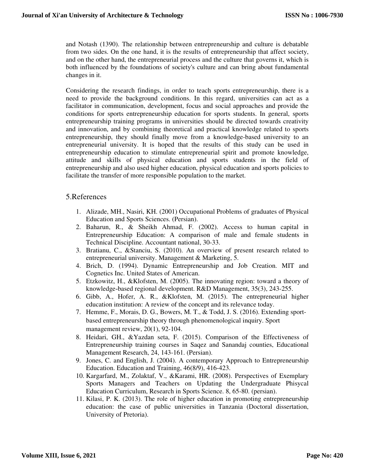and Notash (1390). The relationship between entrepreneurship and culture is debatable from two sides. On the one hand, it is the results of entrepreneurship that affect society, and on the other hand, the entrepreneurial process and the culture that governs it, which is both influenced by the foundations of society's culture and can bring about fundamental changes in it.

Considering the research findings, in order to teach sports entrepreneurship, there is a need to provide the background conditions. In this regard, universities can act as a facilitator in communication, development, focus and social approaches and provide the conditions for sports entrepreneurship education for sports students. In general, sports entrepreneurship training programs in universities should be directed towards creativity and innovation, and by combining theoretical and practical knowledge related to sports entrepreneurship, they should finally move from a knowledge-based university to an entrepreneurial university. It is hoped that the results of this study can be used in entrepreneurship education to stimulate entrepreneurial spirit and promote knowledge, attitude and skills of physical education and sports students in the field of entrepreneurship and also used higher education, physical education and sports policies to facilitate the transfer of more responsible population to the market.

#### 5.References

- 1. Alizade, MH., Nasiri, KH. (2001) Occupational Problems of graduates of Physical Education and Sports Sciences. (Persian).
- 2. Baharun, R., & Sheikh Ahmad, F. (2002). Access to human capital in Entrepreneurship Education: A comparison of male and female students in Technical Discipline. Accountant national, 30-33.
- 3. Bratianu, C., &Stanciu, S. (2010). An overview of present research related to entrepreneurial university. Management & Marketing, 5.
- 4. Brich, D. (1994). Dynamic Entrepreneurship and Job Creation. MIT and Cognetics Inc. United States of American.
- 5. Etzkowitz, H., &Klofsten, M. (2005). The innovating region: toward a theory of knowledge-based regional development. R&D Management, 35(3), 243-255.
- 6. Gibb, A., Hofer, A. R., &Klofsten, M. (2015). The entrepreneurial higher education institution: A review of the concept and its relevance today.
- 7. Hemme, F., Morais, D. G., Bowers, M. T., & Todd, J. S. (2016). Extending sportbased entrepreneurship theory through phenomenological inquiry. Sport management review, 20(1), 92-104.
- 8. Heidari, GH., &Yazdan seta, F. (2015). Comparison of the Effectiveness of Entrepreneurship training courses in Saqez and Sanandaj counties, Educational Management Research, 24, 143-161. (Persian).
- 9. Jones, C. and English, J. (2004). A contemporary Approach to Entrepreneurship Education. Education and Training, 46(8/9), 416-423.
- 10. Kargarfard, M., Zolaktaf, V., &Karami, HR. (2008). Perspectives of Exemplary Sports Managers and Teachers on Updating the Undergraduate Phisycal Education Curriculum, Research in Sports Science. 8, 65-80. (persian).
- 11. Kilasi, P. K. (2013). The role of higher education in promoting entrepreneurship education: the case of public universities in Tanzania (Doctoral dissertation, University of Pretoria).